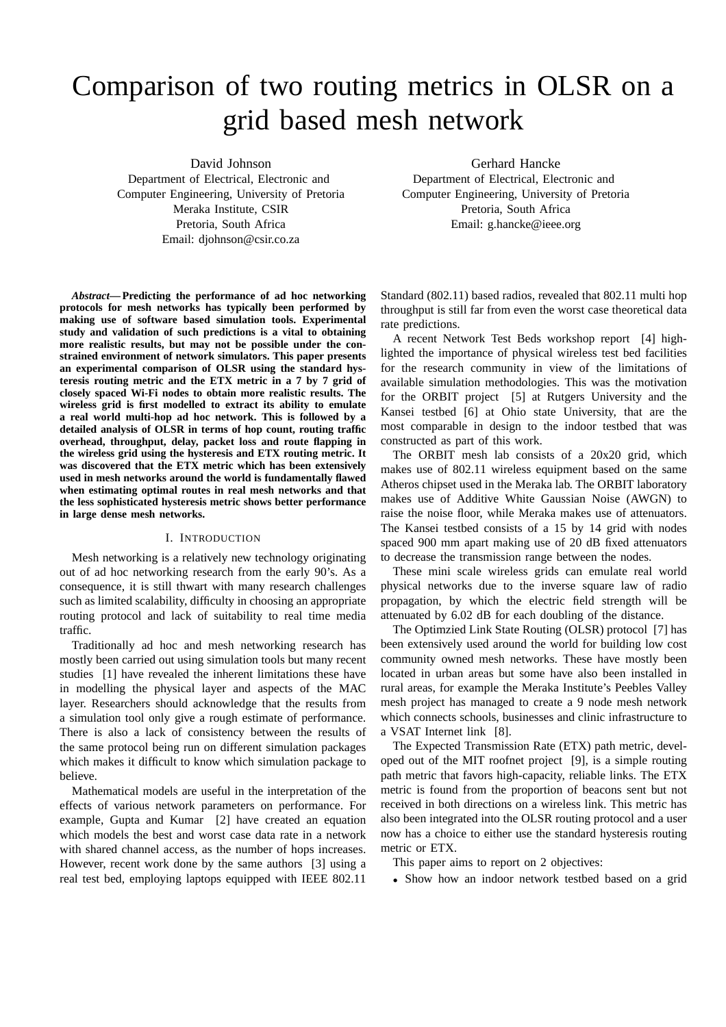# Comparison of two routing metrics in OLSR on a grid based mesh network

David Johnson Department of Electrical, Electronic and Computer Engineering, University of Pretoria Meraka Institute, CSIR Pretoria, South Africa Email: djohnson@csir.co.za

*Abstract***— Predicting the performance of ad hoc networking protocols for mesh networks has typically been performed by making use of software based simulation tools. Experimental study and validation of such predictions is a vital to obtaining more realistic results, but may not be possible under the constrained environment of network simulators. This paper presents an experimental comparison of OLSR using the standard hysteresis routing metric and the ETX metric in a 7 by 7 grid of closely spaced Wi-Fi nodes to obtain more realistic results. The wireless grid is first modelled to extract its ability to emulate a real world multi-hop ad hoc network. This is followed by a detailed analysis of OLSR in terms of hop count, routing traffic overhead, throughput, delay, packet loss and route flapping in the wireless grid using the hysteresis and ETX routing metric. It was discovered that the ETX metric which has been extensively used in mesh networks around the world is fundamentally flawed when estimating optimal routes in real mesh networks and that the less sophisticated hysteresis metric shows better performance in large dense mesh networks.**

## I. INTRODUCTION

Mesh networking is a relatively new technology originating out of ad hoc networking research from the early 90's. As a consequence, it is still thwart with many research challenges such as limited scalability, difficulty in choosing an appropriate routing protocol and lack of suitability to real time media traffic.

Traditionally ad hoc and mesh networking research has mostly been carried out using simulation tools but many recent studies [1] have revealed the inherent limitations these have in modelling the physical layer and aspects of the MAC layer. Researchers should acknowledge that the results from a simulation tool only give a rough estimate of performance. There is also a lack of consistency between the results of the same protocol being run on different simulation packages which makes it difficult to know which simulation package to believe.

Mathematical models are useful in the interpretation of the effects of various network parameters on performance. For example, Gupta and Kumar [2] have created an equation which models the best and worst case data rate in a network with shared channel access, as the number of hops increases. However, recent work done by the same authors [3] using a real test bed, employing laptops equipped with IEEE 802.11

Gerhard Hancke Department of Electrical, Electronic and Computer Engineering, University of Pretoria Pretoria, South Africa Email: g.hancke@ieee.org

Standard (802.11) based radios, revealed that 802.11 multi hop throughput is still far from even the worst case theoretical data rate predictions.

A recent Network Test Beds workshop report [4] highlighted the importance of physical wireless test bed facilities for the research community in view of the limitations of available simulation methodologies. This was the motivation for the ORBIT project [5] at Rutgers University and the Kansei testbed [6] at Ohio state University, that are the most comparable in design to the indoor testbed that was constructed as part of this work.

The ORBIT mesh lab consists of a 20x20 grid, which makes use of 802.11 wireless equipment based on the same Atheros chipset used in the Meraka lab. The ORBIT laboratory makes use of Additive White Gaussian Noise (AWGN) to raise the noise floor, while Meraka makes use of attenuators. The Kansei testbed consists of a 15 by 14 grid with nodes spaced 900 mm apart making use of 20 dB fixed attenuators to decrease the transmission range between the nodes.

These mini scale wireless grids can emulate real world physical networks due to the inverse square law of radio propagation, by which the electric field strength will be attenuated by 6.02 dB for each doubling of the distance.

The Optimzied Link State Routing (OLSR) protocol [7] has been extensively used around the world for building low cost community owned mesh networks. These have mostly been located in urban areas but some have also been installed in rural areas, for example the Meraka Institute's Peebles Valley mesh project has managed to create a 9 node mesh network which connects schools, businesses and clinic infrastructure to a VSAT Internet link [8].

The Expected Transmission Rate (ETX) path metric, developed out of the MIT roofnet project [9], is a simple routing path metric that favors high-capacity, reliable links. The ETX metric is found from the proportion of beacons sent but not received in both directions on a wireless link. This metric has also been integrated into the OLSR routing protocol and a user now has a choice to either use the standard hysteresis routing metric or ETX.

This paper aims to report on 2 objectives:

• Show how an indoor network testbed based on a grid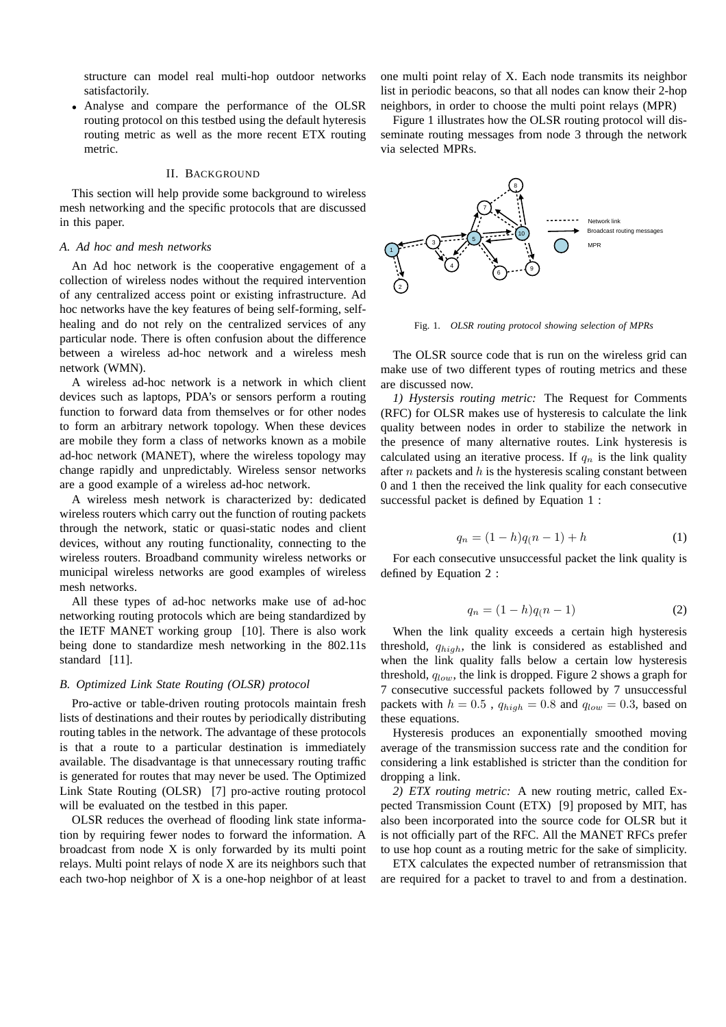structure can model real multi-hop outdoor networks satisfactorily.

• Analyse and compare the performance of the OLSR routing protocol on this testbed using the default hyteresis routing metric as well as the more recent ETX routing metric.

#### II. BACKGROUND

This section will help provide some background to wireless mesh networking and the specific protocols that are discussed in this paper.

## *A. Ad hoc and mesh networks*

An Ad hoc network is the cooperative engagement of a collection of wireless nodes without the required intervention of any centralized access point or existing infrastructure. Ad hoc networks have the key features of being self-forming, selfhealing and do not rely on the centralized services of any particular node. There is often confusion about the difference between a wireless ad-hoc network and a wireless mesh network (WMN).

A wireless ad-hoc network is a network in which client devices such as laptops, PDA's or sensors perform a routing function to forward data from themselves or for other nodes to form an arbitrary network topology. When these devices are mobile they form a class of networks known as a mobile ad-hoc network (MANET), where the wireless topology may change rapidly and unpredictably. Wireless sensor networks are a good example of a wireless ad-hoc network.

A wireless mesh network is characterized by: dedicated wireless routers which carry out the function of routing packets through the network, static or quasi-static nodes and client devices, without any routing functionality, connecting to the wireless routers. Broadband community wireless networks or municipal wireless networks are good examples of wireless mesh networks.

All these types of ad-hoc networks make use of ad-hoc networking routing protocols which are being standardized by the IETF MANET working group [10]. There is also work being done to standardize mesh networking in the 802.11s standard [11].

## *B. Optimized Link State Routing (OLSR) protocol*

Pro-active or table-driven routing protocols maintain fresh lists of destinations and their routes by periodically distributing routing tables in the network. The advantage of these protocols is that a route to a particular destination is immediately available. The disadvantage is that unnecessary routing traffic is generated for routes that may never be used. The Optimized Link State Routing (OLSR) [7] pro-active routing protocol will be evaluated on the testbed in this paper.

OLSR reduces the overhead of flooding link state information by requiring fewer nodes to forward the information. A broadcast from node X is only forwarded by its multi point relays. Multi point relays of node X are its neighbors such that each two-hop neighbor of X is a one-hop neighbor of at least

one multi point relay of X. Each node transmits its neighbor list in periodic beacons, so that all nodes can know their 2-hop neighbors, in order to choose the multi point relays (MPR)

Figure 1 illustrates how the OLSR routing protocol will disseminate routing messages from node 3 through the network via selected MPRs.



Fig. 1. *OLSR routing protocol showing selection of MPRs*

The OLSR source code that is run on the wireless grid can make use of two different types of routing metrics and these are discussed now.

*1) Hystersis routing metric:* The Request for Comments (RFC) for OLSR makes use of hysteresis to calculate the link quality between nodes in order to stabilize the network in the presence of many alternative routes. Link hysteresis is calculated using an iterative process. If  $q_n$  is the link quality after  $n$  packets and  $h$  is the hysteresis scaling constant between 0 and 1 then the received the link quality for each consecutive successful packet is defined by Equation 1 :

$$
q_n = (1 - h)q(n - 1) + h \tag{1}
$$

For each consecutive unsuccessful packet the link quality is defined by Equation 2 :

$$
q_n = (1 - h)q(n - 1)
$$
 (2)

When the link quality exceeds a certain high hysteresis threshold, qhigh, the link is considered as established and when the link quality falls below a certain low hysteresis threshold,  $q_{low}$ , the link is dropped. Figure 2 shows a graph for 7 consecutive successful packets followed by 7 unsuccessful packets with  $h = 0.5$ ,  $q_{high} = 0.8$  and  $q_{low} = 0.3$ , based on these equations.

Hysteresis produces an exponentially smoothed moving average of the transmission success rate and the condition for considering a link established is stricter than the condition for dropping a link.

*2) ETX routing metric:* A new routing metric, called Expected Transmission Count (ETX) [9] proposed by MIT, has also been incorporated into the source code for OLSR but it is not officially part of the RFC. All the MANET RFCs prefer to use hop count as a routing metric for the sake of simplicity.

ETX calculates the expected number of retransmission that are required for a packet to travel to and from a destination.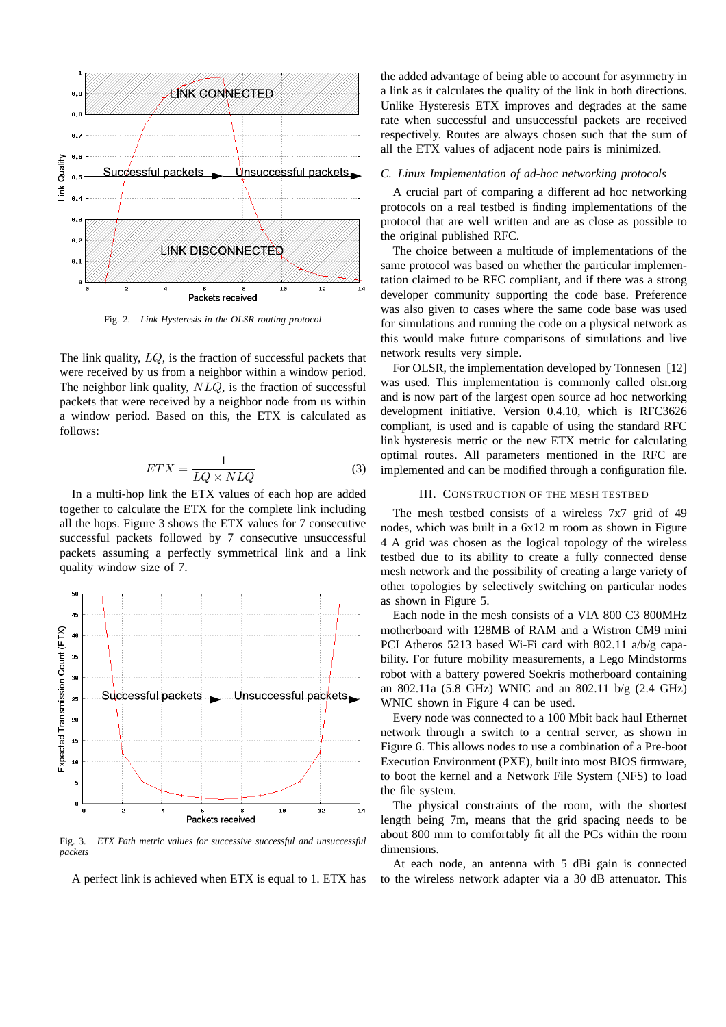

Fig. 2. *Link Hysteresis in the OLSR routing protocol*

The link quality, LQ, is the fraction of successful packets that were received by us from a neighbor within a window period. The neighbor link quality,  $NLQ$ , is the fraction of successful packets that were received by a neighbor node from us within a window period. Based on this, the ETX is calculated as follows:

$$
ETX = \frac{1}{LQ \times NLQ} \tag{3}
$$

In a multi-hop link the ETX values of each hop are added together to calculate the ETX for the complete link including all the hops. Figure 3 shows the ETX values for 7 consecutive successful packets followed by 7 consecutive unsuccessful packets assuming a perfectly symmetrical link and a link quality window size of 7.



Fig. 3. *ETX Path metric values for successive successful and unsuccessful packets*

A perfect link is achieved when ETX is equal to 1. ETX has

the added advantage of being able to account for asymmetry in a link as it calculates the quality of the link in both directions. Unlike Hysteresis ETX improves and degrades at the same rate when successful and unsuccessful packets are received respectively. Routes are always chosen such that the sum of all the ETX values of adjacent node pairs is minimized.

### *C. Linux Implementation of ad-hoc networking protocols*

A crucial part of comparing a different ad hoc networking protocols on a real testbed is finding implementations of the protocol that are well written and are as close as possible to the original published RFC.

The choice between a multitude of implementations of the same protocol was based on whether the particular implementation claimed to be RFC compliant, and if there was a strong developer community supporting the code base. Preference was also given to cases where the same code base was used for simulations and running the code on a physical network as this would make future comparisons of simulations and live network results very simple.

For OLSR, the implementation developed by Tonnesen [12] was used. This implementation is commonly called olsr.org and is now part of the largest open source ad hoc networking development initiative. Version 0.4.10, which is RFC3626 compliant, is used and is capable of using the standard RFC link hysteresis metric or the new ETX metric for calculating optimal routes. All parameters mentioned in the RFC are implemented and can be modified through a configuration file.

#### III. CONSTRUCTION OF THE MESH TESTBED

The mesh testbed consists of a wireless 7x7 grid of 49 nodes, which was built in a 6x12 m room as shown in Figure 4 A grid was chosen as the logical topology of the wireless testbed due to its ability to create a fully connected dense mesh network and the possibility of creating a large variety of other topologies by selectively switching on particular nodes as shown in Figure 5.

Each node in the mesh consists of a VIA 800 C3 800MHz motherboard with 128MB of RAM and a Wistron CM9 mini PCI Atheros 5213 based Wi-Fi card with 802.11 a/b/g capability. For future mobility measurements, a Lego Mindstorms robot with a battery powered Soekris motherboard containing an 802.11a (5.8 GHz) WNIC and an 802.11 b/g (2.4 GHz) WNIC shown in Figure 4 can be used.

Every node was connected to a 100 Mbit back haul Ethernet network through a switch to a central server, as shown in Figure 6. This allows nodes to use a combination of a Pre-boot Execution Environment (PXE), built into most BIOS firmware, to boot the kernel and a Network File System (NFS) to load the file system.

The physical constraints of the room, with the shortest length being 7m, means that the grid spacing needs to be about 800 mm to comfortably fit all the PCs within the room dimensions.

At each node, an antenna with 5 dBi gain is connected to the wireless network adapter via a 30 dB attenuator. This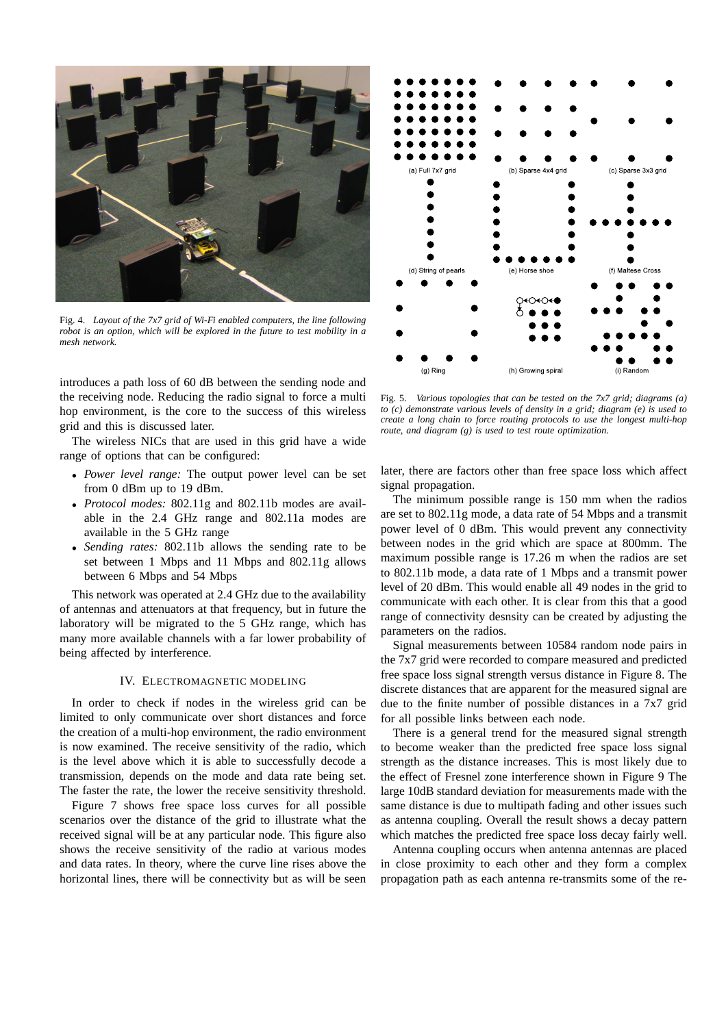

Fig. 4. *Layout of the 7x7 grid of Wi-Fi enabled computers, the line following robot is an option, which will be explored in the future to test mobility in a mesh network.*

introduces a path loss of 60 dB between the sending node and the receiving node. Reducing the radio signal to force a multi hop environment, is the core to the success of this wireless grid and this is discussed later.

The wireless NICs that are used in this grid have a wide range of options that can be configured:

- *Power level range:* The output power level can be set from 0 dBm up to 19 dBm.
- *Protocol modes:* 802.11g and 802.11b modes are available in the 2.4 GHz range and 802.11a modes are available in the 5 GHz range
- *Sending rates:* 802.11b allows the sending rate to be set between 1 Mbps and 11 Mbps and 802.11g allows between 6 Mbps and 54 Mbps

This network was operated at 2.4 GHz due to the availability of antennas and attenuators at that frequency, but in future the laboratory will be migrated to the 5 GHz range, which has many more available channels with a far lower probability of being affected by interference.

## IV. ELECTROMAGNETIC MODELING

In order to check if nodes in the wireless grid can be limited to only communicate over short distances and force the creation of a multi-hop environment, the radio environment is now examined. The receive sensitivity of the radio, which is the level above which it is able to successfully decode a transmission, depends on the mode and data rate being set. The faster the rate, the lower the receive sensitivity threshold.

Figure 7 shows free space loss curves for all possible scenarios over the distance of the grid to illustrate what the received signal will be at any particular node. This figure also shows the receive sensitivity of the radio at various modes and data rates. In theory, where the curve line rises above the horizontal lines, there will be connectivity but as will be seen



Fig. 5. *Various topologies that can be tested on the 7x7 grid; diagrams (a) to (c) demonstrate various levels of density in a grid; diagram (e) is used to create a long chain to force routing protocols to use the longest multi-hop route, and diagram (g) is used to test route optimization.*

later, there are factors other than free space loss which affect signal propagation.

The minimum possible range is 150 mm when the radios are set to 802.11g mode, a data rate of 54 Mbps and a transmit power level of 0 dBm. This would prevent any connectivity between nodes in the grid which are space at 800mm. The maximum possible range is 17.26 m when the radios are set to 802.11b mode, a data rate of 1 Mbps and a transmit power level of 20 dBm. This would enable all 49 nodes in the grid to communicate with each other. It is clear from this that a good range of connectivity desnsity can be created by adjusting the parameters on the radios.

Signal measurements between 10584 random node pairs in the 7x7 grid were recorded to compare measured and predicted free space loss signal strength versus distance in Figure 8. The discrete distances that are apparent for the measured signal are due to the finite number of possible distances in a 7x7 grid for all possible links between each node.

There is a general trend for the measured signal strength to become weaker than the predicted free space loss signal strength as the distance increases. This is most likely due to the effect of Fresnel zone interference shown in Figure 9 The large 10dB standard deviation for measurements made with the same distance is due to multipath fading and other issues such as antenna coupling. Overall the result shows a decay pattern which matches the predicted free space loss decay fairly well.

Antenna coupling occurs when antenna antennas are placed in close proximity to each other and they form a complex propagation path as each antenna re-transmits some of the re-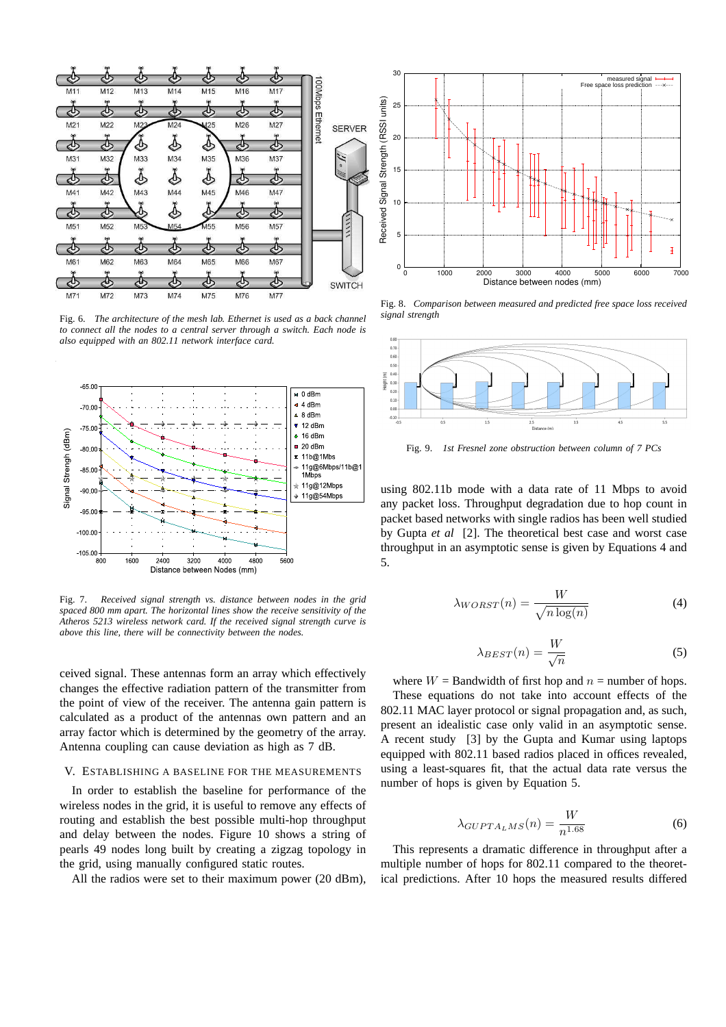

Fig. 6. *The architecture of the mesh lab. Ethernet is used as a back channel to connect all the nodes to a central server through a switch. Each node is also equipped with an 802.11 network interface card.*



Fig. 7. *Received signal strength vs. distance between nodes in the grid spaced 800 mm apart. The horizontal lines show the receive sensitivity of the Atheros 5213 wireless network card. If the received signal strength curve is above this line, there will be connectivity between the nodes.*

ceived signal. These antennas form an array which effectively changes the effective radiation pattern of the transmitter from the point of view of the receiver. The antenna gain pattern is calculated as a product of the antennas own pattern and an array factor which is determined by the geometry of the array. Antenna coupling can cause deviation as high as 7 dB.

#### V. ESTABLISHING A BASELINE FOR THE MEASUREMENTS

In order to establish the baseline for performance of the wireless nodes in the grid, it is useful to remove any effects of routing and establish the best possible multi-hop throughput and delay between the nodes. Figure 10 shows a string of pearls 49 nodes long built by creating a zigzag topology in the grid, using manually configured static routes.

All the radios were set to their maximum power (20 dBm),



Fig. 8. *Comparison between measured and predicted free space loss received signal strength*



Fig. 9. *1st Fresnel zone obstruction between column of 7 PCs*

using 802.11b mode with a data rate of 11 Mbps to avoid any packet loss. Throughput degradation due to hop count in packet based networks with single radios has been well studied by Gupta *et al* [2]. The theoretical best case and worst case throughput in an asymptotic sense is given by Equations 4 and 5.

$$
\lambda_{WORST}(n) = \frac{W}{\sqrt{n \log(n)}}\tag{4}
$$

$$
\lambda_{BEST}(n) = \frac{W}{\sqrt{n}}\tag{5}
$$

where  $W =$  Bandwidth of first hop and  $n =$  number of hops. These equations do not take into account effects of the 802.11 MAC layer protocol or signal propagation and, as such, present an idealistic case only valid in an asymptotic sense. A recent study [3] by the Gupta and Kumar using laptops equipped with 802.11 based radios placed in offices revealed, using a least-squares fit, that the actual data rate versus the number of hops is given by Equation 5.

$$
\lambda_{GUPTA_LMS}(n) = \frac{W}{n^{1.68}}\tag{6}
$$

This represents a dramatic difference in throughput after a multiple number of hops for 802.11 compared to the theoretical predictions. After 10 hops the measured results differed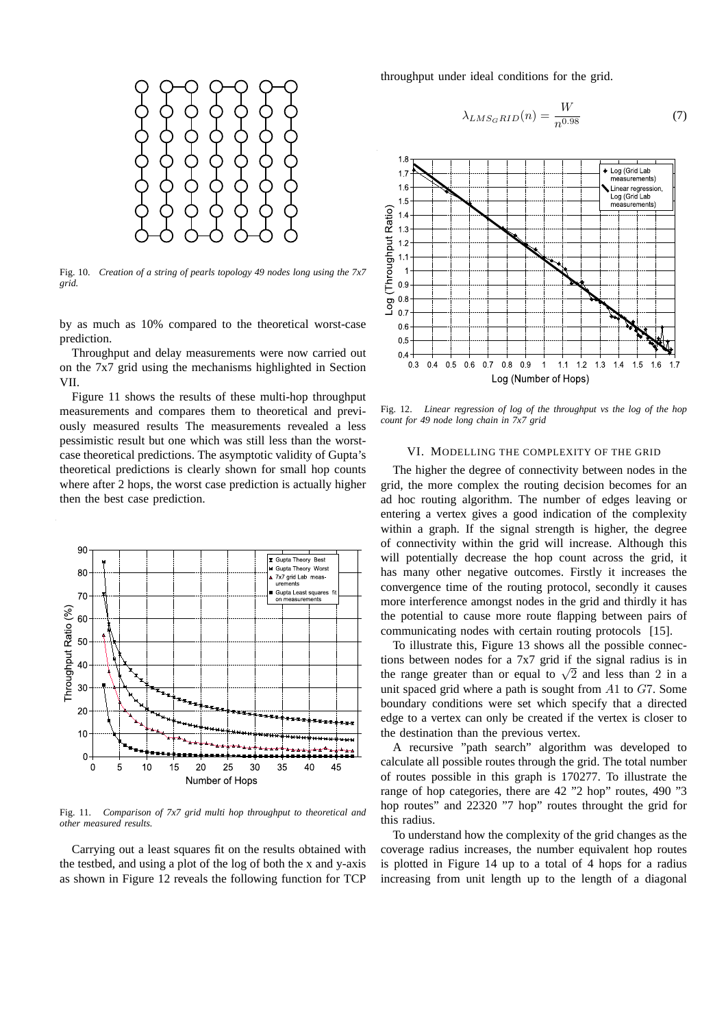

Fig. 10. *Creation of a string of pearls topology 49 nodes long using the 7x7 grid.*

by as much as 10% compared to the theoretical worst-case prediction.

Throughput and delay measurements were now carried out on the 7x7 grid using the mechanisms highlighted in Section VII.

Figure 11 shows the results of these multi-hop throughput measurements and compares them to theoretical and previously measured results The measurements revealed a less pessimistic result but one which was still less than the worstcase theoretical predictions. The asymptotic validity of Gupta's theoretical predictions is clearly shown for small hop counts where after 2 hops, the worst case prediction is actually higher then the best case prediction.



Fig. 11. *Comparison of 7x7 grid multi hop throughput to theoretical and other measured results.*

Carrying out a least squares fit on the results obtained with the testbed, and using a plot of the log of both the x and y-axis as shown in Figure 12 reveals the following function for TCP

throughput under ideal conditions for the grid.

$$
\lambda_{LMS_{G}RID}(n) = \frac{W}{n^{0.98}}\tag{7}
$$



Fig. 12. *Linear regression of log of the throughput vs the log of the hop count for 49 node long chain in 7x7 grid*

#### VI. MODELLING THE COMPLEXITY OF THE GRID

The higher the degree of connectivity between nodes in the grid, the more complex the routing decision becomes for an ad hoc routing algorithm. The number of edges leaving or entering a vertex gives a good indication of the complexity within a graph. If the signal strength is higher, the degree of connectivity within the grid will increase. Although this will potentially decrease the hop count across the grid, it has many other negative outcomes. Firstly it increases the convergence time of the routing protocol, secondly it causes more interference amongst nodes in the grid and thirdly it has the potential to cause more route flapping between pairs of communicating nodes with certain routing protocols [15].

To illustrate this, Figure 13 shows all the possible connections between nodes for a 7x7 grid if the signal radius is in the range greater than or equal to  $\sqrt{2}$  and less than 2 in a unit spaced grid where a path is sought from A1 to G7. Some boundary conditions were set which specify that a directed edge to a vertex can only be created if the vertex is closer to the destination than the previous vertex.

A recursive "path search" algorithm was developed to calculate all possible routes through the grid. The total number of routes possible in this graph is 170277. To illustrate the range of hop categories, there are 42 "2 hop" routes, 490 "3 hop routes" and 22320 "7 hop" routes throught the grid for this radius.

To understand how the complexity of the grid changes as the coverage radius increases, the number equivalent hop routes is plotted in Figure 14 up to a total of 4 hops for a radius increasing from unit length up to the length of a diagonal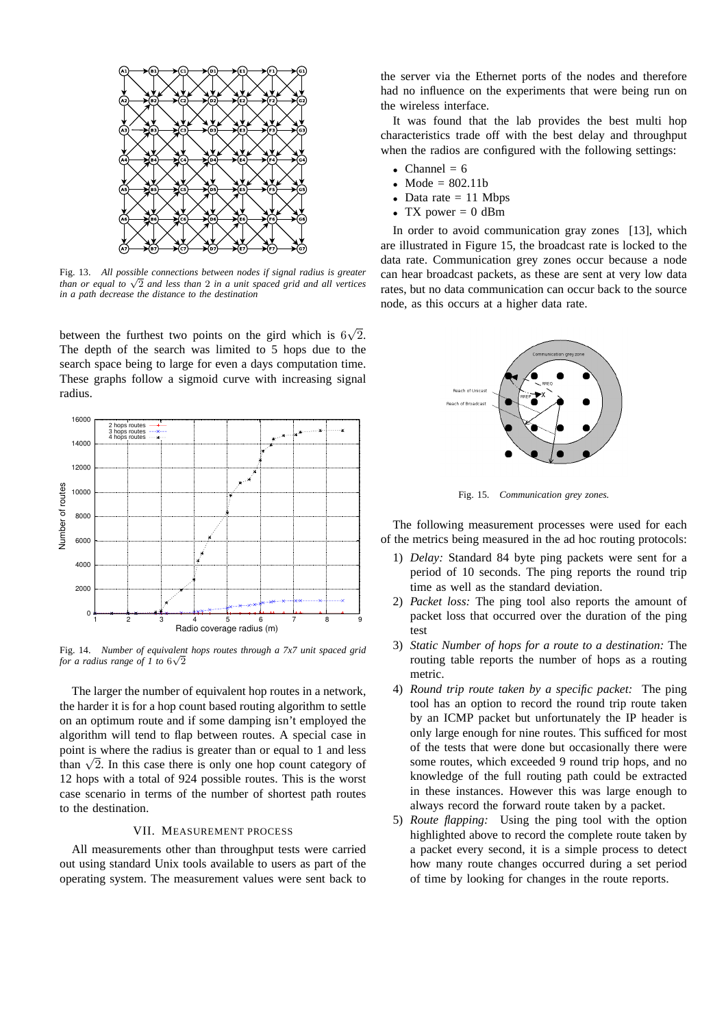

Fig. 13. *All possible connections between nodes if signal radius is greater than or equal to* √ 2 *and less than* 2 *in a unit spaced grid and all vertices in a path decrease the distance to the destination*

between the furthest two points on the gird which is  $6\sqrt{2}$ . The depth of the search was limited to 5 hops due to the search space being to large for even a days computation time. These graphs follow a sigmoid curve with increasing signal radius.



Fig. 14. *Number of equivalent hops routes through a 7x7 unit spaced grid* for a radius range of  $1$  to  $6\sqrt{2}$ 

The larger the number of equivalent hop routes in a network, the harder it is for a hop count based routing algorithm to settle on an optimum route and if some damping isn't employed the algorithm will tend to flap between routes. A special case in point is where the radius is greater than or equal to 1 and less than  $\sqrt{2}$ . In this case there is only one hop count category of 12 hops with a total of 924 possible routes. This is the worst case scenario in terms of the number of shortest path routes to the destination.

#### VII. MEASUREMENT PROCESS

All measurements other than throughput tests were carried out using standard Unix tools available to users as part of the operating system. The measurement values were sent back to the server via the Ethernet ports of the nodes and therefore had no influence on the experiments that were being run on the wireless interface.

It was found that the lab provides the best multi hop characteristics trade off with the best delay and throughput when the radios are configured with the following settings:

- Channel  $= 6$
- Mode =  $802.11b$
- Data rate  $= 11$  Mbps
- TX power  $= 0$  dBm

In order to avoid communication gray zones [13], which are illustrated in Figure 15, the broadcast rate is locked to the data rate. Communication grey zones occur because a node can hear broadcast packets, as these are sent at very low data rates, but no data communication can occur back to the source node, as this occurs at a higher data rate.



Fig. 15. *Communication grey zones.*

The following measurement processes were used for each of the metrics being measured in the ad hoc routing protocols:

- 1) *Delay:* Standard 84 byte ping packets were sent for a period of 10 seconds. The ping reports the round trip time as well as the standard deviation.
- 2) *Packet loss:* The ping tool also reports the amount of packet loss that occurred over the duration of the ping test
- 3) *Static Number of hops for a route to a destination:* The routing table reports the number of hops as a routing metric.
- 4) *Round trip route taken by a specific packet:* The ping tool has an option to record the round trip route taken by an ICMP packet but unfortunately the IP header is only large enough for nine routes. This sufficed for most of the tests that were done but occasionally there were some routes, which exceeded 9 round trip hops, and no knowledge of the full routing path could be extracted in these instances. However this was large enough to always record the forward route taken by a packet.
- 5) *Route flapping:* Using the ping tool with the option highlighted above to record the complete route taken by a packet every second, it is a simple process to detect how many route changes occurred during a set period of time by looking for changes in the route reports.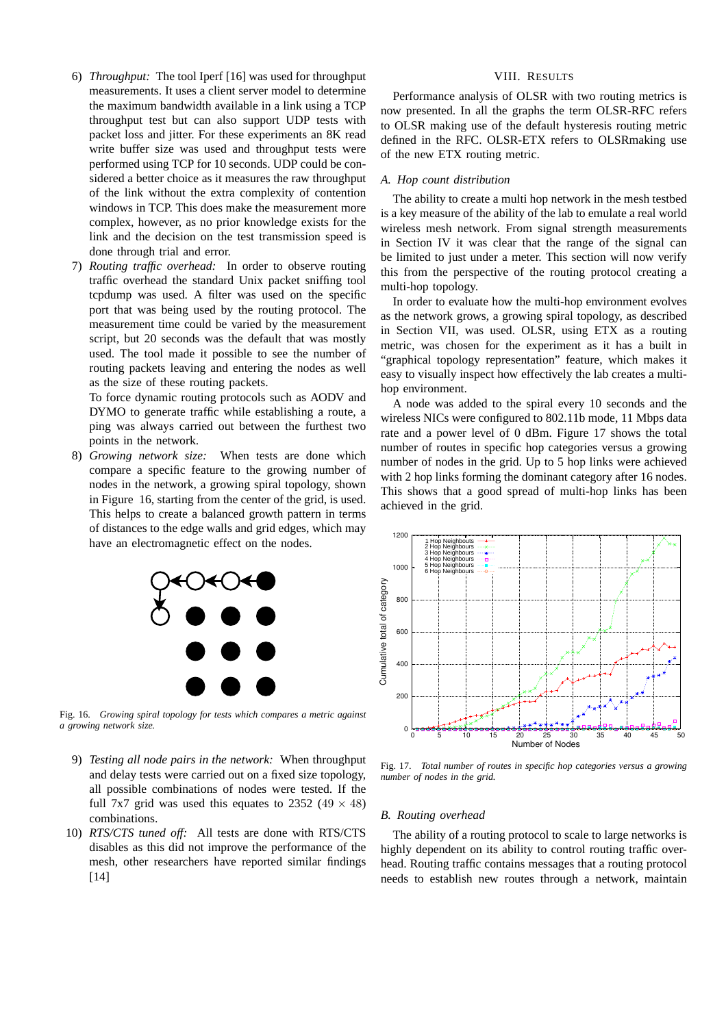- 6) *Throughput:* The tool Iperf [16] was used for throughput measurements. It uses a client server model to determine the maximum bandwidth available in a link using a TCP throughput test but can also support UDP tests with packet loss and jitter. For these experiments an 8K read write buffer size was used and throughput tests were performed using TCP for 10 seconds. UDP could be considered a better choice as it measures the raw throughput of the link without the extra complexity of contention windows in TCP. This does make the measurement more complex, however, as no prior knowledge exists for the link and the decision on the test transmission speed is done through trial and error.
- 7) *Routing traffic overhead:* In order to observe routing traffic overhead the standard Unix packet sniffing tool tcpdump was used. A filter was used on the specific port that was being used by the routing protocol. The measurement time could be varied by the measurement script, but 20 seconds was the default that was mostly used. The tool made it possible to see the number of routing packets leaving and entering the nodes as well as the size of these routing packets.

To force dynamic routing protocols such as AODV and DYMO to generate traffic while establishing a route, a ping was always carried out between the furthest two points in the network.

8) *Growing network size:* When tests are done which compare a specific feature to the growing number of nodes in the network, a growing spiral topology, shown in Figure 16, starting from the center of the grid, is used. This helps to create a balanced growth pattern in terms of distances to the edge walls and grid edges, which may have an electromagnetic effect on the nodes.



Fig. 16. *Growing spiral topology for tests which compares a metric against a growing network size.*

- 9) *Testing all node pairs in the network:* When throughput and delay tests were carried out on a fixed size topology, all possible combinations of nodes were tested. If the full 7x7 grid was used this equates to 2352 (49  $\times$  48) combinations.
- 10) *RTS/CTS tuned off:* All tests are done with RTS/CTS disables as this did not improve the performance of the mesh, other researchers have reported similar findings [14]

## VIII. RESULTS

Performance analysis of OLSR with two routing metrics is now presented. In all the graphs the term OLSR-RFC refers to OLSR making use of the default hysteresis routing metric defined in the RFC. OLSR-ETX refers to OLSRmaking use of the new ETX routing metric.

#### *A. Hop count distribution*

The ability to create a multi hop network in the mesh testbed is a key measure of the ability of the lab to emulate a real world wireless mesh network. From signal strength measurements in Section IV it was clear that the range of the signal can be limited to just under a meter. This section will now verify this from the perspective of the routing protocol creating a multi-hop topology.

In order to evaluate how the multi-hop environment evolves as the network grows, a growing spiral topology, as described in Section VII, was used. OLSR, using ETX as a routing metric, was chosen for the experiment as it has a built in "graphical topology representation" feature, which makes it easy to visually inspect how effectively the lab creates a multihop environment.

A node was added to the spiral every 10 seconds and the wireless NICs were configured to 802.11b mode, 11 Mbps data rate and a power level of 0 dBm. Figure 17 shows the total number of routes in specific hop categories versus a growing number of nodes in the grid. Up to 5 hop links were achieved with 2 hop links forming the dominant category after 16 nodes. This shows that a good spread of multi-hop links has been achieved in the grid.



Fig. 17. *Total number of routes in specific hop categories versus a growing number of nodes in the grid.*

## *B. Routing overhead*

The ability of a routing protocol to scale to large networks is highly dependent on its ability to control routing traffic overhead. Routing traffic contains messages that a routing protocol needs to establish new routes through a network, maintain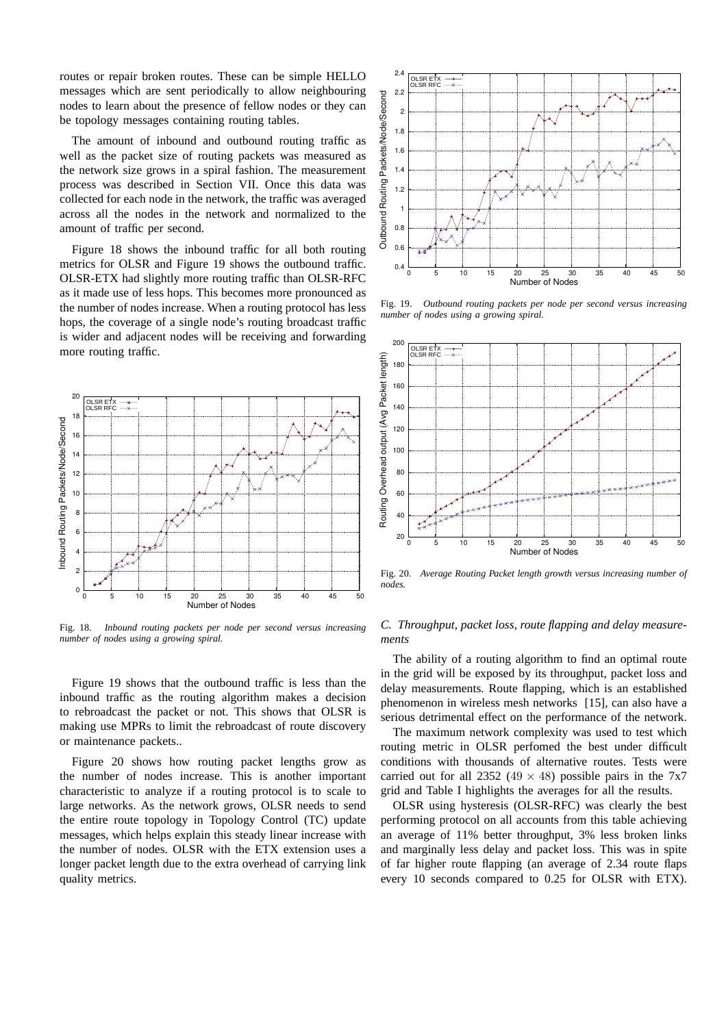routes or repair broken routes. These can be simple HELLO messages which are sent periodically to allow neighbouring nodes to learn about the presence of fellow nodes or they can be topology messages containing routing tables.

The amount of inbound and outbound routing traffic as well as the packet size of routing packets was measured as the network size grows in a spiral fashion. The measurement process was described in Section VII. Once this data was collected for each node in the network, the traffic was averaged across all the nodes in the network and normalized to the amount of traffic per second.

Figure 18 shows the inbound traffic for all both routing metrics for OLSR and Figure 19 shows the outbound traffic. OLSR-ETX had slightly more routing traffic than OLSR-RFC as it made use of less hops. This becomes more pronounced as the number of nodes increase. When a routing protocol has less hops, the coverage of a single node's routing broadcast traffic is wider and adjacent nodes will be receiving and forwarding more routing traffic.



Fig. 18. *Inbound routing packets per node per second versus increasing number of nodes using a growing spiral.*

Figure 19 shows that the outbound traffic is less than the inbound traffic as the routing algorithm makes a decision to rebroadcast the packet or not. This shows that OLSR is making use MPRs to limit the rebroadcast of route discovery or maintenance packets..

Figure 20 shows how routing packet lengths grow as the number of nodes increase. This is another important characteristic to analyze if a routing protocol is to scale to large networks. As the network grows, OLSR needs to send the entire route topology in Topology Control (TC) update messages, which helps explain this steady linear increase with the number of nodes. OLSR with the ETX extension uses a longer packet length due to the extra overhead of carrying link quality metrics.



Fig. 19. *Outbound routing packets per node per second versus increasing number of nodes using a growing spiral.*



Fig. 20. *Average Routing Packet length growth versus increasing number of nodes.*

# *C. Throughput, packet loss, route flapping and delay measurements*

The ability of a routing algorithm to find an optimal route in the grid will be exposed by its throughput, packet loss and delay measurements. Route flapping, which is an established phenomenon in wireless mesh networks [15], can also have a serious detrimental effect on the performance of the network.

The maximum network complexity was used to test which routing metric in OLSR perfomed the best under difficult conditions with thousands of alternative routes. Tests were carried out for all 2352 (49  $\times$  48) possible pairs in the 7x7 grid and Table I highlights the averages for all the results.

OLSR using hysteresis (OLSR-RFC) was clearly the best performing protocol on all accounts from this table achieving an average of 11% better throughput, 3% less broken links and marginally less delay and packet loss. This was in spite of far higher route flapping (an average of 2.34 route flaps every 10 seconds compared to 0.25 for OLSR with ETX).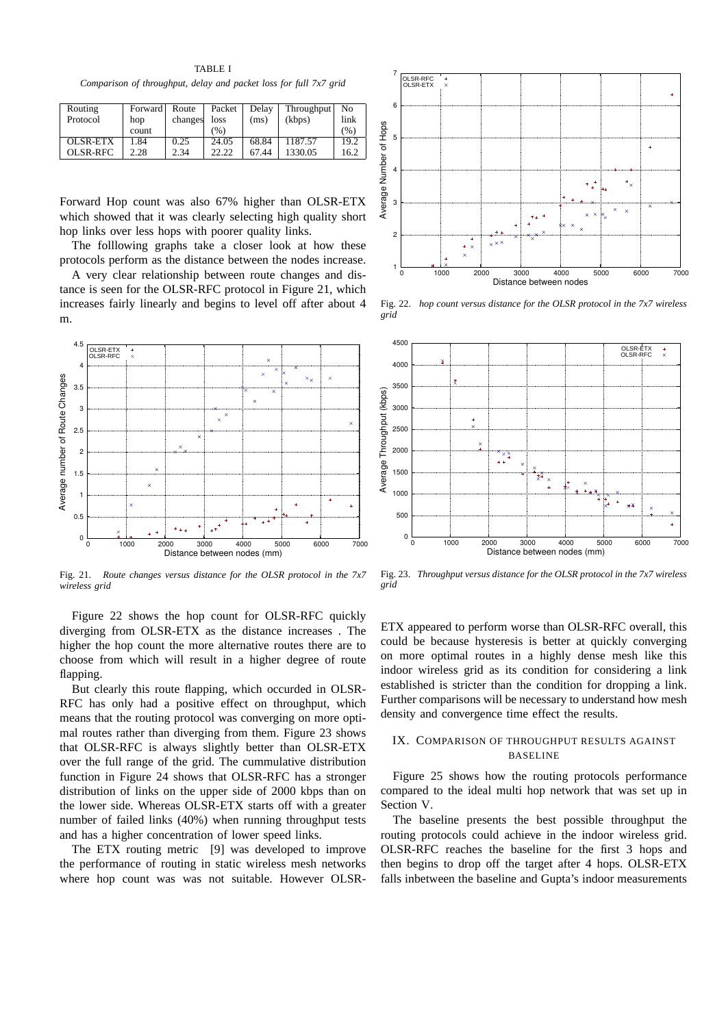TABLE I *Comparison of throughput, delay and packet loss for full 7x7 grid*

| Routing<br>Protocol | Forward  <br>hop | Route<br>changes | Packet<br>loss | Delay<br>(ms) | Throughput<br>(kbps) | No<br>link |
|---------------------|------------------|------------------|----------------|---------------|----------------------|------------|
|                     | count            |                  | (%)            |               |                      | (%)        |
| OLSR-ETX            | 1.84             | 0.25             | 24.05          | 68.84         | 1187.57              | 19.2       |
| OLSR-RFC            | 2.28             | 2.34             | 22.22          | 67.44         | 1330.05              | 16.2       |

Forward Hop count was also 67% higher than OLSR-ETX which showed that it was clearly selecting high quality short hop links over less hops with poorer quality links.

The folllowing graphs take a closer look at how these protocols perform as the distance between the nodes increase.

A very clear relationship between route changes and distance is seen for the OLSR-RFC protocol in Figure 21, which increases fairly linearly and begins to level off after about 4 m.



Fig. 21. *Route changes versus distance for the OLSR protocol in the 7x7 wireless grid*

Figure 22 shows the hop count for OLSR-RFC quickly diverging from OLSR-ETX as the distance increases . The higher the hop count the more alternative routes there are to choose from which will result in a higher degree of route flapping.

But clearly this route flapping, which occurded in OLSR-RFC has only had a positive effect on throughput, which means that the routing protocol was converging on more optimal routes rather than diverging from them. Figure 23 shows that OLSR-RFC is always slightly better than OLSR-ETX over the full range of the grid. The cummulative distribution function in Figure 24 shows that OLSR-RFC has a stronger distribution of links on the upper side of 2000 kbps than on the lower side. Whereas OLSR-ETX starts off with a greater number of failed links (40%) when running throughput tests and has a higher concentration of lower speed links.

The ETX routing metric [9] was developed to improve the performance of routing in static wireless mesh networks where hop count was was not suitable. However OLSR-



Fig. 22. *hop count versus distance for the OLSR protocol in the 7x7 wireless grid*



Fig. 23. *Throughput versus distance for the OLSR protocol in the 7x7 wireless grid*

ETX appeared to perform worse than OLSR-RFC overall, this could be because hysteresis is better at quickly converging on more optimal routes in a highly dense mesh like this indoor wireless grid as its condition for considering a link established is stricter than the condition for dropping a link. Further comparisons will be necessary to understand how mesh density and convergence time effect the results.

# IX. COMPARISON OF THROUGHPUT RESULTS AGAINST BASELINE

Figure 25 shows how the routing protocols performance compared to the ideal multi hop network that was set up in Section V.

The baseline presents the best possible throughput the routing protocols could achieve in the indoor wireless grid. OLSR-RFC reaches the baseline for the first 3 hops and then begins to drop off the target after 4 hops. OLSR-ETX falls inbetween the baseline and Gupta's indoor measurements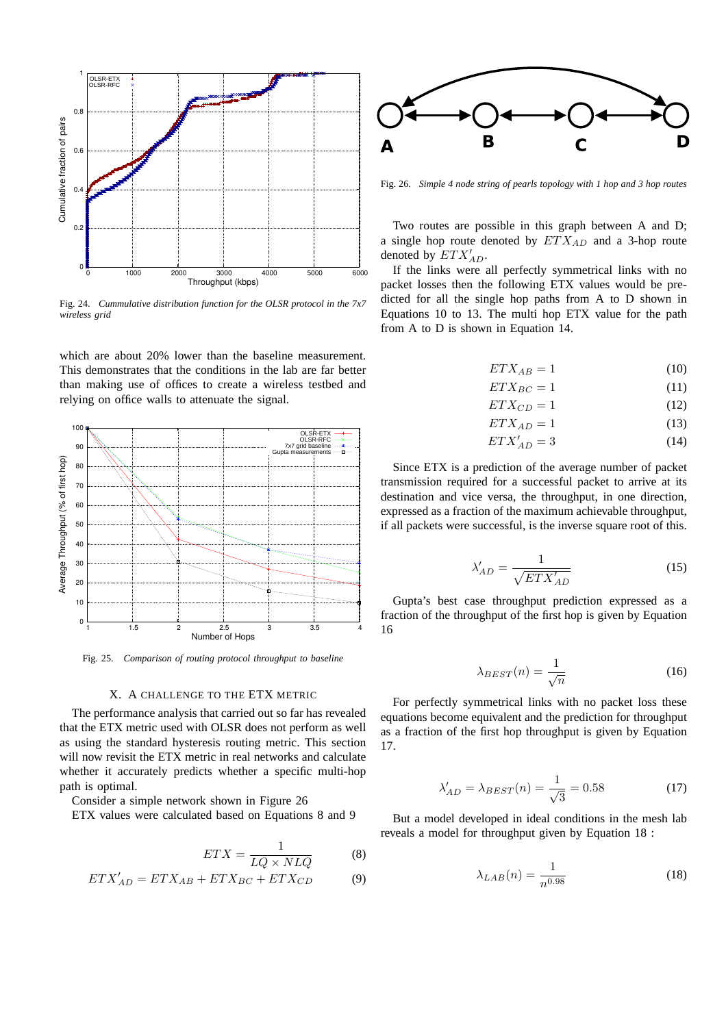

Fig. 24. *Cummulative distribution function for the OLSR protocol in the 7x7 wireless grid*

which are about 20% lower than the baseline measurement. This demonstrates that the conditions in the lab are far better than making use of offices to create a wireless testbed and relying on office walls to attenuate the signal.



Fig. 25. *Comparison of routing protocol throughput to baseline*

#### X. A CHALLENGE TO THE ETX METRIC

The performance analysis that carried out so far has revealed that the ETX metric used with OLSR does not perform as well as using the standard hysteresis routing metric. This section will now revisit the ETX metric in real networks and calculate whether it accurately predicts whether a specific multi-hop path is optimal.

Consider a simple network shown in Figure 26

ETX values were calculated based on Equations 8 and 9

$$
ETX = \frac{1}{LQ \times NLQ}
$$
 (8)  
- ETX<sub>BC</sub> + ETX<sub>CD</sub> (9)

$$
ETX'_{AD} = ETX_{AB} + ETX_{BC} + ETX_{CD}
$$
 (9)



Fig. 26. *Simple 4 node string of pearls topology with 1 hop and 3 hop routes*

Two routes are possible in this graph between A and D; a single hop route denoted by  $ETX_{AD}$  and a 3-hop route denoted by  $ETX'_{AD}$ .

If the links were all perfectly symmetrical links with no packet losses then the following ETX values would be predicted for all the single hop paths from A to D shown in Equations 10 to 13. The multi hop ETX value for the path from A to D is shown in Equation 14.

$$
ETX_{AB} = 1\tag{10}
$$

$$
ETX_{BC} = 1\tag{11}
$$

$$
ETX_{CD} = 1\tag{12}
$$

$$
ETX_{AD} = 1\tag{13}
$$

$$
ETX'_{AD} = 3\tag{14}
$$

Since ETX is a prediction of the average number of packet transmission required for a successful packet to arrive at its destination and vice versa, the throughput, in one direction, expressed as a fraction of the maximum achievable throughput, if all packets were successful, is the inverse square root of this.

$$
\lambda'_{AD} = \frac{1}{\sqrt{ETX'_{AD}}}
$$
\n(15)

Gupta's best case throughput prediction expressed as a fraction of the throughput of the first hop is given by Equation 16

$$
\lambda_{BEST}(n) = \frac{1}{\sqrt{n}}\tag{16}
$$

For perfectly symmetrical links with no packet loss these equations become equivalent and the prediction for throughput as a fraction of the first hop throughput is given by Equation 17.

$$
\lambda'_{AD} = \lambda_{BEST}(n) = \frac{1}{\sqrt{3}} = 0.58\tag{17}
$$

But a model developed in ideal conditions in the mesh lab reveals a model for throughput given by Equation 18 :

$$
\lambda_{LAB}(n) = \frac{1}{n^{0.98}}\tag{18}
$$